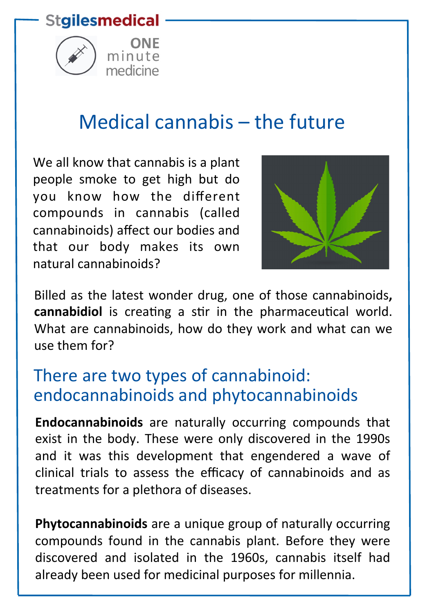#### **Stgilesmedical**



# Medical cannabis  $-$  the future

We all know that cannabis is a plant people smoke to get high but do you know how the different compounds in cannabis (called cannabinoids) affect our bodies and that our body makes its own natural cannabinoids?



Billed as the latest wonder drug, one of those cannabinoids, cannabidiol is creating a stir in the pharmaceutical world. What are cannabinoids, how do they work and what can we use them for?

#### There are two types of cannabinoid: endocannabinoids and phytocannabinoids

**Endocannabinoids** are naturally occurring compounds that exist in the body. These were only discovered in the 1990s and it was this development that engendered a wave of clinical trials to assess the efficacy of cannabinoids and as treatments for a plethora of diseases.

**Phytocannabinoids** are a unique group of naturally occurring compounds found in the cannabis plant. Before they were discovered and isolated in the 1960s, cannabis itself had already been used for medicinal purposes for millennia.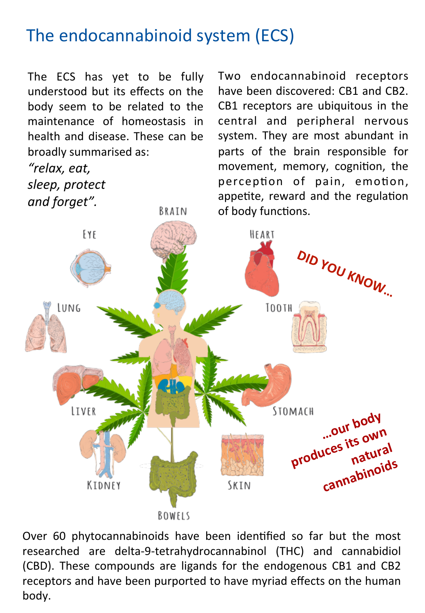## The endocannabinoid system (ECS)

BRAIN

The ECS has yet to be fully understood but its effects on the body seem to be related to the maintenance of homeostasis in health and disease. These can be broadly summarised as:

*"relax, eat,*  sleep, protect and forget".

Two endocannabinoid receptors have been discovered: CB1 and CB2. CB1 receptors are ubiquitous in the central and peripheral nervous system. They are most abundant in parts of the brain responsible for movement, memory, cognition, the perception of pain, emotion, appetite, reward and the regulation of body functions.



Over 60 phytocannabinoids have been identified so far but the most researched are delta-9-tetrahydrocannabinol (THC) and cannabidiol (CBD). These compounds are ligands for the endogenous CB1 and CB2 receptors and have been purported to have myriad effects on the human body.